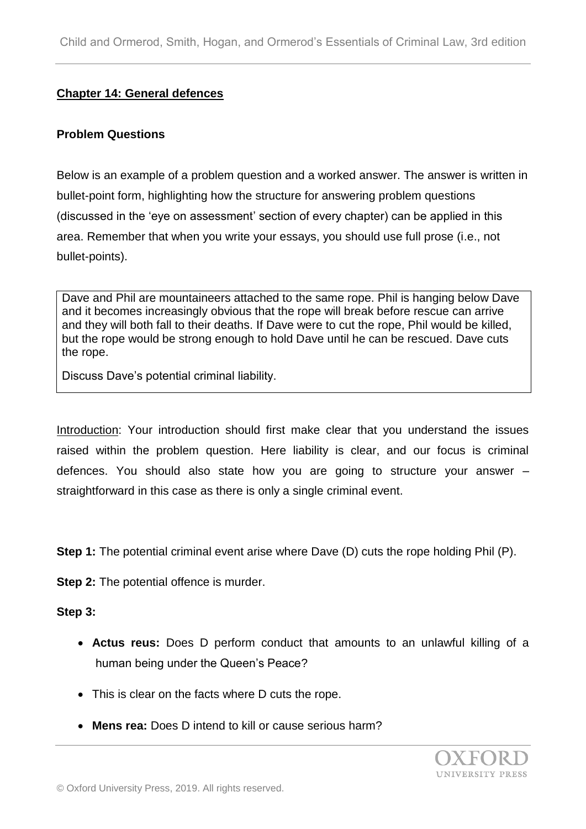#### **Chapter 14: General defences**

#### **Problem Questions**

Below is an example of a problem question and a worked answer. The answer is written in bullet-point form, highlighting how the structure for answering problem questions (discussed in the 'eye on assessment' section of every chapter) can be applied in this area. Remember that when you write your essays, you should use full prose (i.e., not bullet-points).

Dave and Phil are mountaineers attached to the same rope. Phil is hanging below Dave and it becomes increasingly obvious that the rope will break before rescue can arrive and they will both fall to their deaths. If Dave were to cut the rope, Phil would be killed, but the rope would be strong enough to hold Dave until he can be rescued. Dave cuts the rope.

Discuss Dave's potential criminal liability.

Introduction: Your introduction should first make clear that you understand the issues raised within the problem question. Here liability is clear, and our focus is criminal defences. You should also state how you are going to structure your answer – straightforward in this case as there is only a single criminal event.

**Step 1:** The potential criminal event arise where Dave (D) cuts the rope holding Phil (P).

**Step 2:** The potential offence is murder.

#### **Step 3:**

- **Actus reus:** Does D perform conduct that amounts to an unlawful killing of a human being under the Queen's Peace?
- This is clear on the facts where D cuts the rope.
- **Mens rea:** Does D intend to kill or cause serious harm?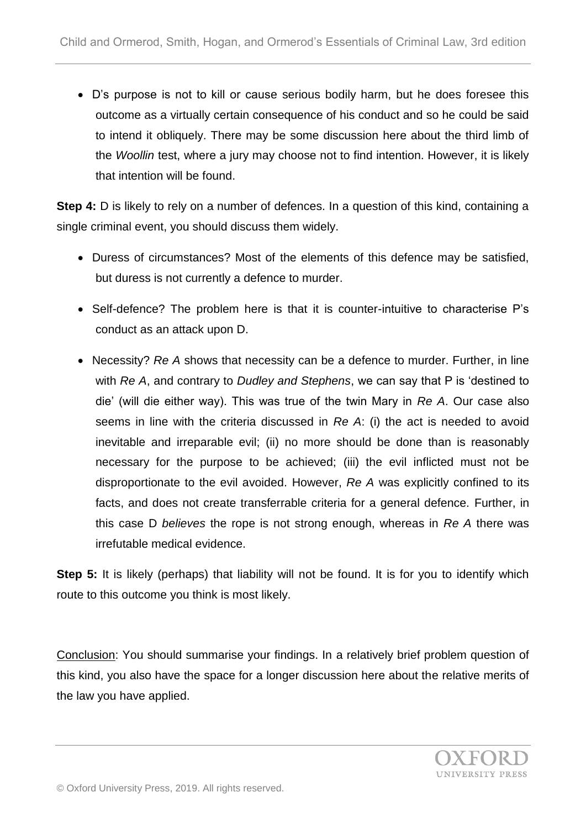D's purpose is not to kill or cause serious bodily harm, but he does foresee this outcome as a virtually certain consequence of his conduct and so he could be said to intend it obliquely. There may be some discussion here about the third limb of the *Woollin* test, where a jury may choose not to find intention. However, it is likely that intention will be found.

**Step 4:** D is likely to rely on a number of defences. In a question of this kind, containing a single criminal event, you should discuss them widely.

- Duress of circumstances? Most of the elements of this defence may be satisfied, but duress is not currently a defence to murder.
- Self-defence? The problem here is that it is counter-intuitive to characterise P's conduct as an attack upon D.
- Necessity? *Re A* shows that necessity can be a defence to murder. Further, in line with *Re A*, and contrary to *Dudley and Stephens*, we can say that P is 'destined to die' (will die either way). This was true of the twin Mary in *Re A*. Our case also seems in line with the criteria discussed in *Re A*: (i) the act is needed to avoid inevitable and irreparable evil; (ii) no more should be done than is reasonably necessary for the purpose to be achieved; (iii) the evil inflicted must not be disproportionate to the evil avoided. However, *Re A* was explicitly confined to its facts, and does not create transferrable criteria for a general defence. Further, in this case D *believes* the rope is not strong enough, whereas in *Re A* there was irrefutable medical evidence.

**Step 5:** It is likely (perhaps) that liability will not be found. It is for you to identify which route to this outcome you think is most likely.

Conclusion: You should summarise your findings. In a relatively brief problem question of this kind, you also have the space for a longer discussion here about the relative merits of the law you have applied.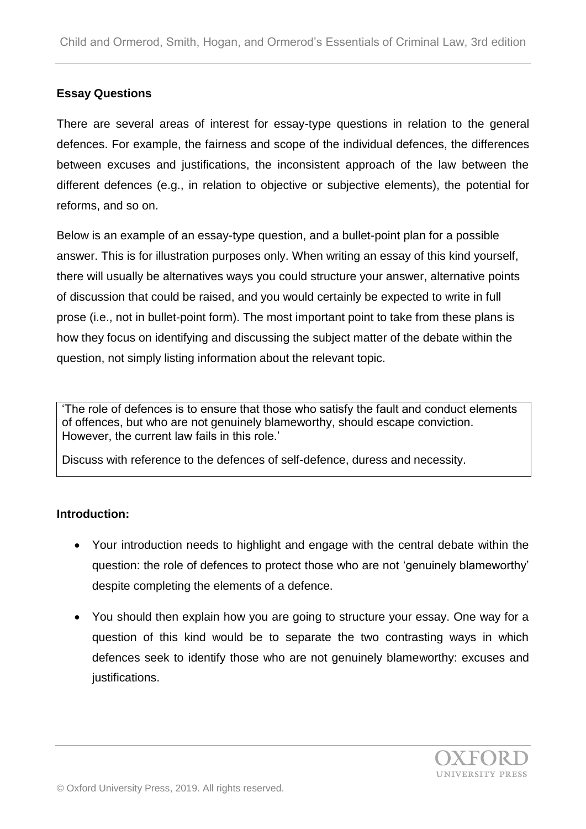### **Essay Questions**

There are several areas of interest for essay-type questions in relation to the general defences. For example, the fairness and scope of the individual defences, the differences between excuses and justifications, the inconsistent approach of the law between the different defences (e.g., in relation to objective or subjective elements), the potential for reforms, and so on.

Below is an example of an essay-type question, and a bullet-point plan for a possible answer. This is for illustration purposes only. When writing an essay of this kind yourself, there will usually be alternatives ways you could structure your answer, alternative points of discussion that could be raised, and you would certainly be expected to write in full prose (i.e., not in bullet-point form). The most important point to take from these plans is how they focus on identifying and discussing the subject matter of the debate within the question, not simply listing information about the relevant topic.

'The role of defences is to ensure that those who satisfy the fault and conduct elements of offences, but who are not genuinely blameworthy, should escape conviction. However, the current law fails in this role.'

Discuss with reference to the defences of self-defence, duress and necessity.

### **Introduction:**

- Your introduction needs to highlight and engage with the central debate within the question: the role of defences to protect those who are not 'genuinely blameworthy' despite completing the elements of a defence.
- You should then explain how you are going to structure your essay. One way for a question of this kind would be to separate the two contrasting ways in which defences seek to identify those who are not genuinely blameworthy: excuses and justifications.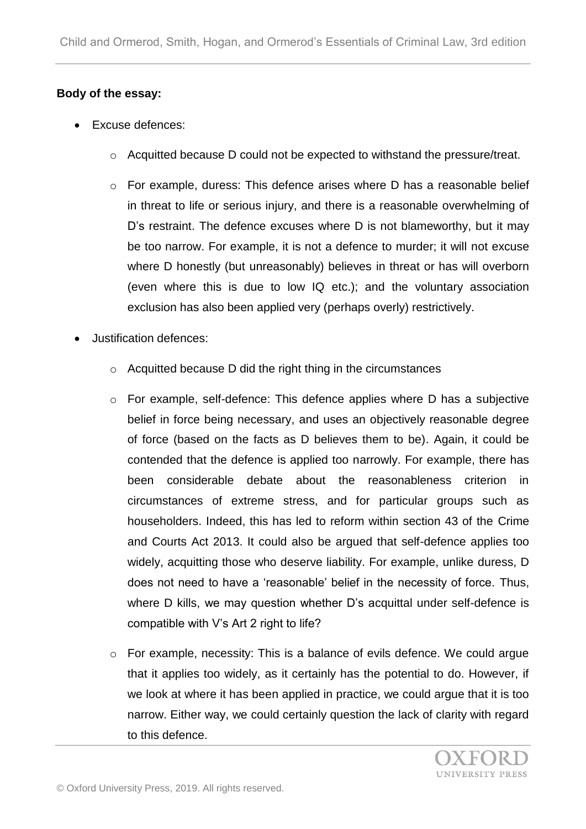## **Body of the essay:**

- Excuse defences:
	- o Acquitted because D could not be expected to withstand the pressure/treat.
	- o For example, duress: This defence arises where D has a reasonable belief in threat to life or serious injury, and there is a reasonable overwhelming of D's restraint. The defence excuses where D is not blameworthy, but it may be too narrow. For example, it is not a defence to murder; it will not excuse where D honestly (but unreasonably) believes in threat or has will overborn (even where this is due to low IQ etc.); and the voluntary association exclusion has also been applied very (perhaps overly) restrictively.
- Justification defences:
	- o Acquitted because D did the right thing in the circumstances
	- o For example, self-defence: This defence applies where D has a subjective belief in force being necessary, and uses an objectively reasonable degree of force (based on the facts as D believes them to be). Again, it could be contended that the defence is applied too narrowly. For example, there has been considerable debate about the reasonableness criterion in circumstances of extreme stress, and for particular groups such as householders. Indeed, this has led to reform within section 43 of the Crime and Courts Act 2013. It could also be argued that self-defence applies too widely, acquitting those who deserve liability. For example, unlike duress, D does not need to have a 'reasonable' belief in the necessity of force. Thus, where D kills, we may question whether D's acquittal under self-defence is compatible with V's Art 2 right to life?
	- o For example, necessity: This is a balance of evils defence. We could argue that it applies too widely, as it certainly has the potential to do. However, if we look at where it has been applied in practice, we could argue that it is too narrow. Either way, we could certainly question the lack of clarity with regard to this defence.